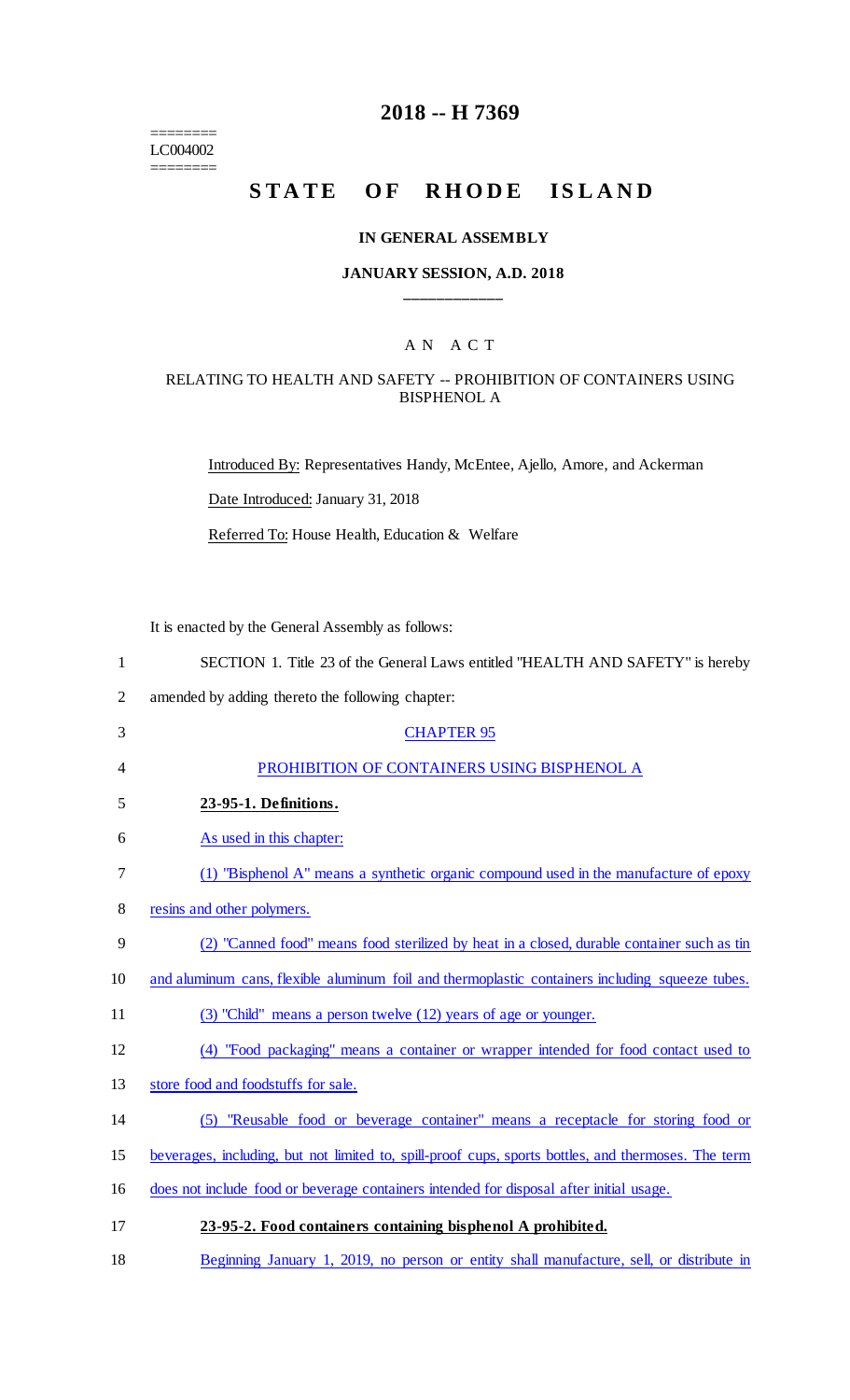======== LC004002 ========

# **2018 -- H 7369**

# **STATE OF RHODE ISLAND**

#### **IN GENERAL ASSEMBLY**

## **JANUARY SESSION, A.D. 2018 \_\_\_\_\_\_\_\_\_\_\_\_**

## A N A C T

#### RELATING TO HEALTH AND SAFETY -- PROHIBITION OF CONTAINERS USING BISPHENOL A

Introduced By: Representatives Handy, McEntee, Ajello, Amore, and Ackerman Date Introduced: January 31, 2018 Referred To: House Health, Education & Welfare

It is enacted by the General Assembly as follows:

| 1              | SECTION 1. Title 23 of the General Laws entitled "HEALTH AND SAFETY" is hereby                      |
|----------------|-----------------------------------------------------------------------------------------------------|
| $\overline{2}$ | amended by adding thereto the following chapter:                                                    |
| 3              | <b>CHAPTER 95</b>                                                                                   |
| 4              | PROHIBITION OF CONTAINERS USING BISPHENOL A                                                         |
| 5              | 23-95-1. Definitions.                                                                               |
| 6              | As used in this chapter:                                                                            |
| 7              | (1) "Bisphenol A" means a synthetic organic compound used in the manufacture of epoxy               |
| 8              | resins and other polymers.                                                                          |
| 9              | (2) "Canned food" means food sterilized by heat in a closed, durable container such as tin          |
| 10             | and aluminum cans, flexible aluminum foil and thermoplastic containers including squeeze tubes.     |
| 11             | (3) "Child" means a person twelve (12) years of age or younger.                                     |
| 12             | (4) "Food packaging" means a container or wrapper intended for food contact used to                 |
| 13             | store food and foodstuffs for sale.                                                                 |
| 14             | (5) "Reusable food or beverage container" means a receptacle for storing food or                    |
| 15             | beverages, including, but not limited to, spill-proof cups, sports bottles, and thermoses. The term |
| 16             | does not include food or beverage containers intended for disposal after initial usage.             |
| 17             | 23-95-2. Food containers containing bisphenol A prohibited.                                         |

18 Beginning January 1, 2019, no person or entity shall manufacture, sell, or distribute in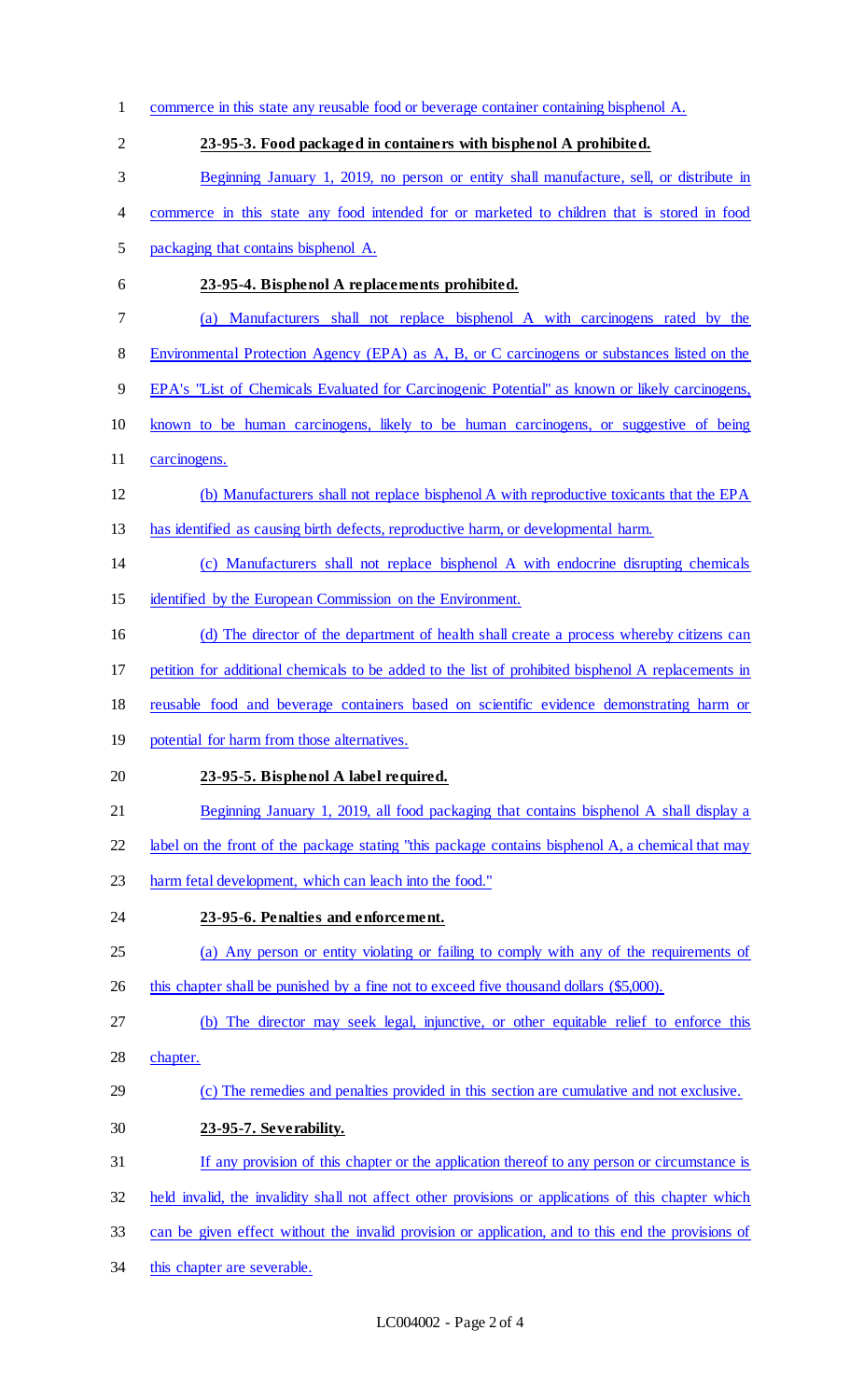| $\mathbf{1}$   | commerce in this state any reusable food or beverage container containing bisphenol A.               |
|----------------|------------------------------------------------------------------------------------------------------|
| $\overline{2}$ | 23-95-3. Food packaged in containers with bisphenol A prohibited.                                    |
| 3              | Beginning January 1, 2019, no person or entity shall manufacture, sell, or distribute in             |
| 4              | commerce in this state any food intended for or marketed to children that is stored in food          |
| 5              | packaging that contains bisphenol A.                                                                 |
| 6              | 23-95-4. Bisphenol A replacements prohibited.                                                        |
| 7              | Manufacturers shall not replace bisphenol A with carcinogens rated by the<br>(a)                     |
| 8              | Environmental Protection Agency (EPA) as A, B, or C carcinogens or substances listed on the          |
| 9              | EPA's "List of Chemicals Evaluated for Carcinogenic Potential" as known or likely carcinogens,       |
| 10             | known to be human carcinogens, likely to be human carcinogens, or suggestive of being                |
| 11             | carcinogens.                                                                                         |
| 12             | (b) Manufacturers shall not replace bisphenol A with reproductive toxicants that the EPA             |
| 13             | has identified as causing birth defects, reproductive harm, or developmental harm.                   |
| 14             | (c) Manufacturers shall not replace bisphenol A with endocrine disrupting chemicals                  |
| 15             | identified by the European Commission on the Environment.                                            |
| 16             | (d) The director of the department of health shall create a process whereby citizens can             |
| 17             | petition for additional chemicals to be added to the list of prohibited bisphenol A replacements in  |
| 18             | reusable food and beverage containers based on scientific evidence demonstrating harm or             |
| 19             | potential for harm from those alternatives.                                                          |
| 20             | 23-95-5. Bisphenol A label required.                                                                 |
| 21             | Beginning January 1, 2019, all food packaging that contains bisphenol A shall display a              |
| 22             | label on the front of the package stating "this package contains bisphenol A, a chemical that may    |
| 23             | harm fetal development, which can leach into the food."                                              |
| 24             | 23-95-6. Penalties and enforcement.                                                                  |
| 25             | (a) Any person or entity violating or failing to comply with any of the requirements of              |
| 26             | this chapter shall be punished by a fine not to exceed five thousand dollars (\$5,000).              |
| 27             | (b) The director may seek legal, injunctive, or other equitable relief to enforce this               |
| 28             | chapter.                                                                                             |
| 29             | (c) The remedies and penalties provided in this section are cumulative and not exclusive.            |
| 30             | 23-95-7. Severability.                                                                               |
| 31             | If any provision of this chapter or the application thereof to any person or circumstance is         |
| 32             | held invalid, the invalidity shall not affect other provisions or applications of this chapter which |
| 33             | can be given effect without the invalid provision or application, and to this end the provisions of  |
| 34             | this chapter are severable.                                                                          |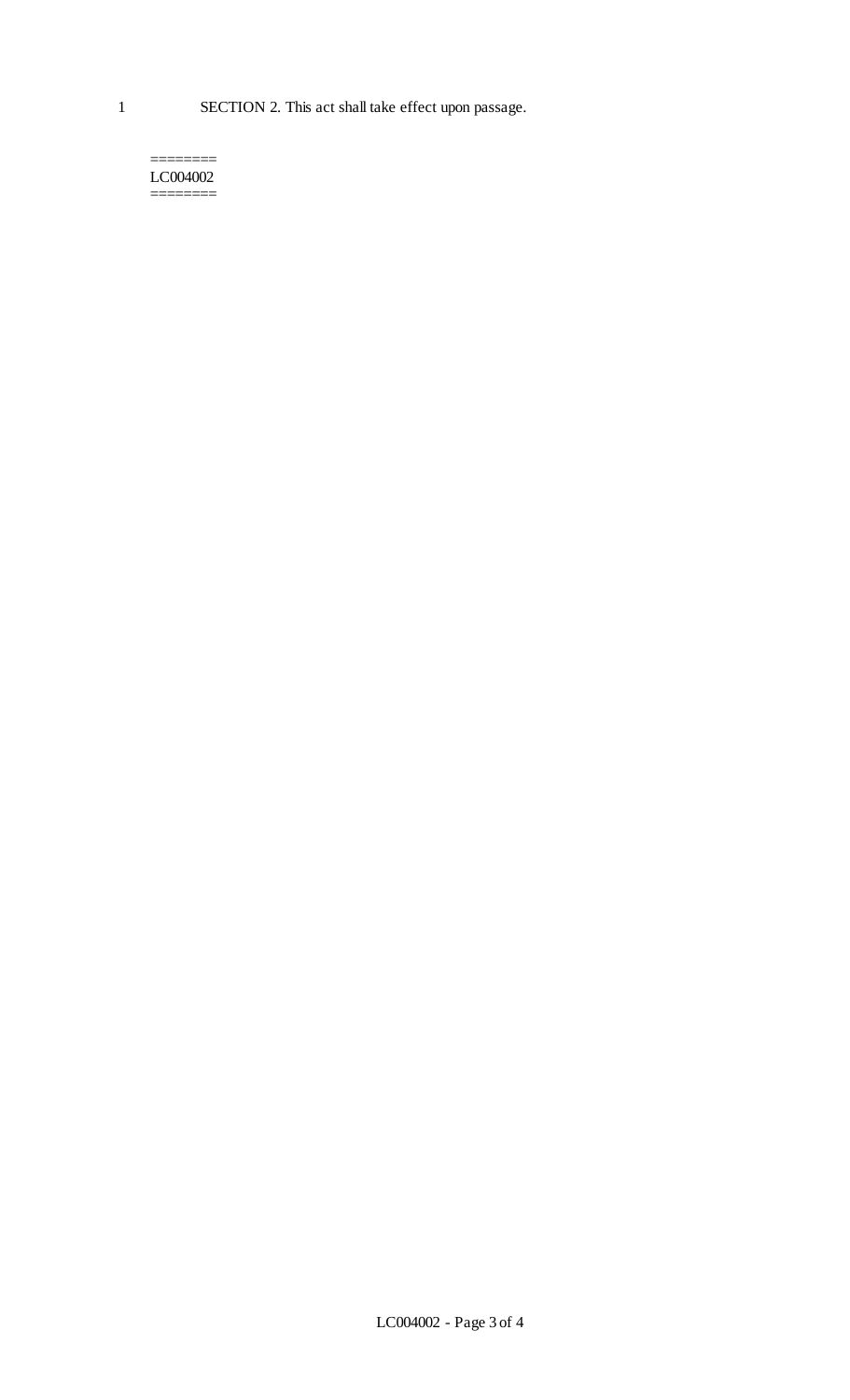======== LC004002 ========